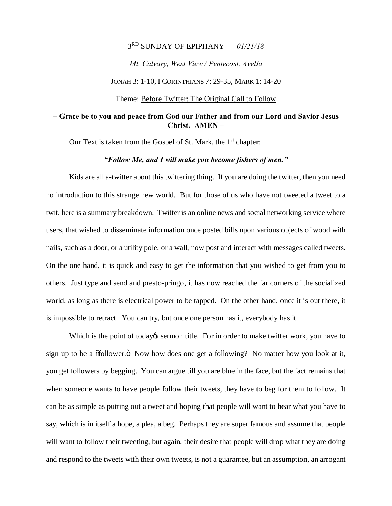#### 3RD SUNDAY OF EPIPHANY *01/21/18*

*Mt. Calvary, West View / Pentecost, Avella*

JONAH 3: 1-10, I CORINTHIANS 7: 29-35, MARK 1: 14-20

Theme: Before Twitter: The Original Call to Follow

### **+ Grace be to you and peace from God our Father and from our Lord and Savior Jesus Christ. AMEN** +

Our Text is taken from the Gospel of St. Mark, the  $1<sup>st</sup>$  chapter:

# *"Follow Me, and I will make you become fishers of men."*

Kids are all a-twitter about this twittering thing. If you are doing the twitter, then you need no introduction to this strange new world. But for those of us who have not tweeted a tweet to a twit, here is a summary breakdown. Twitter is an online news and social networking service where users, that wished to disseminate information once posted bills upon various objects of wood with nails, such as a door, or a utility pole, or a wall, now post and interact with messages called tweets. On the one hand, it is quick and easy to get the information that you wished to get from you to others. Just type and send and presto-pringo, it has now reached the far corners of the socialized world, as long as there is electrical power to be tapped. On the other hand, once it is out there, it is impossible to retract. You can try, but once one person has it, everybody has it.

Which is the point of today test sermon title. For in order to make twitter work, you have to sign up to be a  $\delta$  of follower. $\ddot{\text{o}}$  Now how does one get a following? No matter how you look at it, you get followers by begging. You can argue till you are blue in the face, but the fact remains that when someone wants to have people follow their tweets, they have to beg for them to follow. It can be as simple as putting out a tweet and hoping that people will want to hear what you have to say, which is in itself a hope, a plea, a beg. Perhaps they are super famous and assume that people will want to follow their tweeting, but again, their desire that people will drop what they are doing and respond to the tweets with their own tweets, is not a guarantee, but an assumption, an arrogant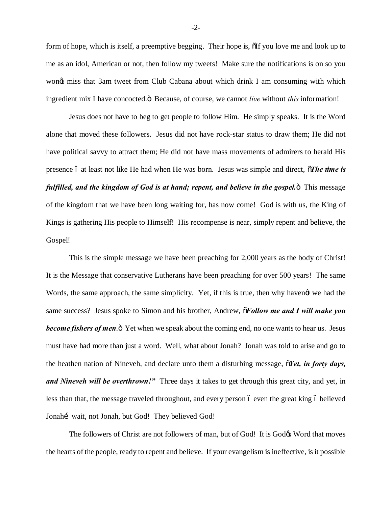form of hope, which is itself, a preemptive begging. Their hope is,  $\delta$  if you love me and look up to me as an idol, American or not, then follow my tweets! Make sure the notifications is on so you wond miss that 3am tweet from Club Cabana about which drink I am consuming with which ingredient mix I have concocted. $\ddot{o}$  Because, of course, we cannot *live* without *this* information!

Jesus does not have to beg to get people to follow Him. He simply speaks. It is the Word alone that moved these followers. Jesus did not have rock-star status to draw them; He did not have political savvy to attract them; He did not have mass movements of admirers to herald His presence 6 at least not like He had when He was born. Jesus was simple and direct,  $\tilde{o}$ *The time is fulfilled, and the kingdom of God is at hand; repent, and believe in the gospel.* This message of the kingdom that we have been long waiting for, has now come! God is with us, the King of Kings is gathering His people to Himself! His recompense is near, simply repent and believe, the Gospel!

This is the simple message we have been preaching for 2,000 years as the body of Christ! It is the Message that conservative Lutherans have been preaching for over 500 years! The same Words, the same approach, the same simplicity. Yet, if this is true, then why havengt we had the same success? Jesus spoke to Simon and his brother, Andrew,  $\tilde{\sigma}$ Follow me and I will make you **become fishers of men.**  $\ddot{o}$  Yet when we speak about the coming end, no one wants to hear us. Jesus must have had more than just a word. Well, what about Jonah? Jonah was told to arise and go to the heathen nation of Nineveh, and declare unto them a disturbing message,  $\delta$ *Yet, in forty days, and Nineveh will be overthrown!"* Three days it takes to get through this great city, and yet, in less than that, the message traveled throughout, and every person 6 even the great king 6 believed Jonahí wait, not Jonah, but God! They believed God!

The followers of Christ are not followers of man, but of God! It is God $\alpha$  Word that moves the hearts of the people, ready to repent and believe. If your evangelism is ineffective, is it possible

-2-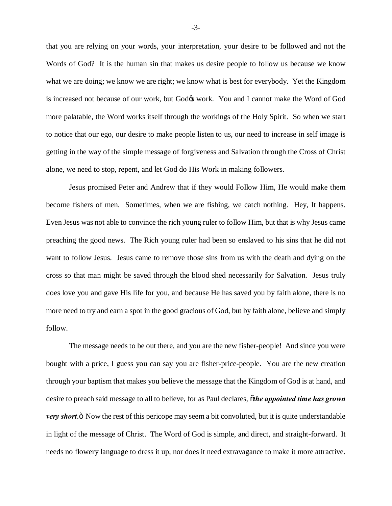that you are relying on your words, your interpretation, your desire to be followed and not the Words of God? It is the human sin that makes us desire people to follow us because we know what we are doing; we know we are right; we know what is best for everybody. Yet the Kingdom is increased not because of our work, but God $\alpha$  work. You and I cannot make the Word of God more palatable, the Word works itself through the workings of the Holy Spirit. So when we start to notice that our ego, our desire to make people listen to us, our need to increase in self image is getting in the way of the simple message of forgiveness and Salvation through the Cross of Christ alone, we need to stop, repent, and let God do His Work in making followers.

Jesus promised Peter and Andrew that if they would Follow Him, He would make them become fishers of men. Sometimes, when we are fishing, we catch nothing. Hey, It happens. Even Jesus was not able to convince the rich young ruler to follow Him, but that is why Jesus came preaching the good news. The Rich young ruler had been so enslaved to his sins that he did not want to follow Jesus. Jesus came to remove those sins from us with the death and dying on the cross so that man might be saved through the blood shed necessarily for Salvation. Jesus truly does love you and gave His life for you, and because He has saved you by faith alone, there is no more need to try and earn a spot in the good gracious of God, but by faith alone, believe and simply follow.

The message needs to be out there, and you are the new fisher-people! And since you were bought with a price, I guess you can say you are fisher-price-people. You are the new creation through your baptism that makes you believe the message that the Kingdom of God is at hand, and desire to preach said message to all to believe, for as Paul declares, "*the appointed time has grown very short*." Now the rest of this pericope may seem a bit convoluted, but it is quite understandable in light of the message of Christ. The Word of God is simple, and direct, and straight-forward. It needs no flowery language to dress it up, nor does it need extravagance to make it more attractive.